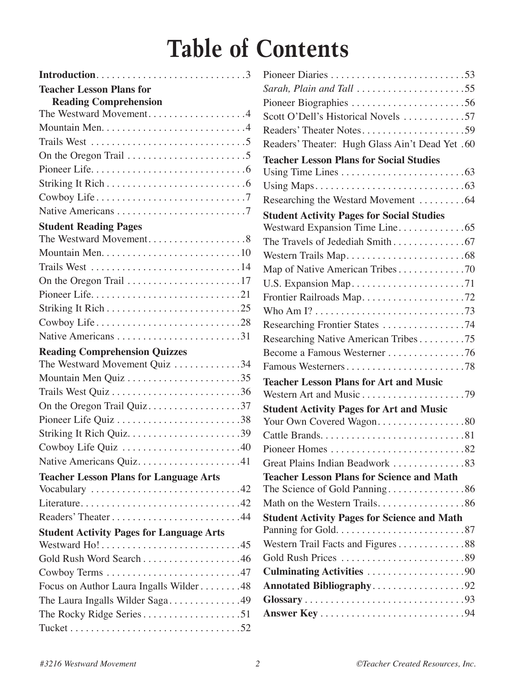# **Table of Contents**

| Introduction3                                                                  |
|--------------------------------------------------------------------------------|
| <b>Teacher Lesson Plans for</b>                                                |
| <b>Reading Comprehension</b>                                                   |
| The Westward Movement4                                                         |
|                                                                                |
| Trails West $\ldots \ldots \ldots \ldots \ldots \ldots \ldots \ldots \ldots 5$ |
| On the Oregon Trail $\dots \dots \dots \dots \dots \dots \dots \dots$          |
|                                                                                |
|                                                                                |
|                                                                                |
|                                                                                |
| <b>Student Reading Pages</b>                                                   |
| The Westward Movement8                                                         |
|                                                                                |
| Trails West 14                                                                 |
| On the Oregon Trail $\ldots \ldots \ldots \ldots \ldots \ldots \ldots 17$      |
|                                                                                |
|                                                                                |
| Cowboy Life28                                                                  |
| Native Americans 31                                                            |
| <b>Reading Comprehension Quizzes</b><br>The Westward Movement Quiz 34          |
|                                                                                |
|                                                                                |
| On the Oregon Trail Quiz37                                                     |
| Pioneer Life Quiz 38                                                           |
|                                                                                |
| Cowboy Life Quiz 40                                                            |
| Native Americans Quiz41                                                        |
| <b>Teacher Lesson Plans for Language Arts</b>                                  |
| Vocabulary 42                                                                  |
| Literature42                                                                   |
|                                                                                |
| <b>Student Activity Pages for Language Arts</b>                                |
| Westward Ho!45                                                                 |
| Gold Rush Word Search 46                                                       |
|                                                                                |
| Focus on Author Laura Ingalls Wilder48                                         |
| The Laura Ingalls Wilder Saga49                                                |
|                                                                                |
|                                                                                |

| Sarah, Plain and Tall $\dots\dots\dots\dots\dots\dots\dots$ 55                 |
|--------------------------------------------------------------------------------|
| Pioneer Biographies 56                                                         |
| Scott O'Dell's Historical Novels 57                                            |
| Readers' Theater Notes59                                                       |
| Readers' Theater: Hugh Glass Ain't Dead Yet .60                                |
| <b>Teacher Lesson Plans for Social Studies</b>                                 |
|                                                                                |
|                                                                                |
| Researching the Westard Movement 64                                            |
| <b>Student Activity Pages for Social Studies</b>                               |
| Westward Expansion Time Line65                                                 |
|                                                                                |
|                                                                                |
| Map of Native American Tribes70                                                |
|                                                                                |
| Frontier Railroads Map72                                                       |
|                                                                                |
| Researching Frontier States 74                                                 |
| Researching Native American Tribes75                                           |
| Become a Famous Westerner 76                                                   |
| Famous Westerners78                                                            |
| <b>Teacher Lesson Plans for Art and Music</b>                                  |
|                                                                                |
| <b>Student Activity Pages for Art and Music</b>                                |
| Your Own Covered Wagon80                                                       |
|                                                                                |
| Pioneer Homes $\dots \dots \dots \dots \dots \dots \dots \dots \dots \dots$ 82 |
| Great Plains Indian Beadwork 83                                                |
| <b>Teacher Lesson Plans for Science and Math</b>                               |
| The Science of Gold Panning86                                                  |
| Math on the Western Trails86                                                   |
| <b>Student Activity Pages for Science and Math</b>                             |
| Western Trail Facts and Figures88                                              |
|                                                                                |
|                                                                                |
| <b>Culminating Activities 90</b>                                               |
| Annotated Bibliography92                                                       |
|                                                                                |
|                                                                                |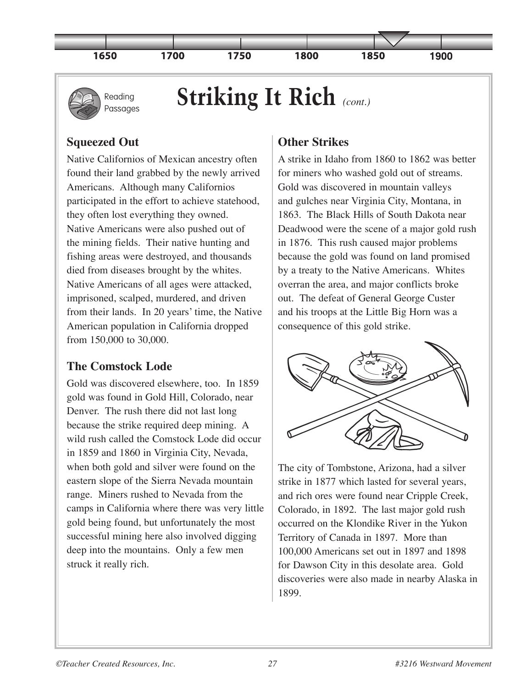



# **Striking It Rich** *(cont.)*

### **Squeezed Out**

Native Californios of Mexican ancestry often found their land grabbed by the newly arrived Americans. Although many Californios participated in the effort to achieve statehood, they often lost everything they owned. Native Americans were also pushed out of the mining fields. Their native hunting and fishing areas were destroyed, and thousands died from diseases brought by the whites. Native Americans of all ages were attacked, imprisoned, scalped, murdered, and driven from their lands. In 20 years' time, the Native American population in California dropped from 150,000 to 30,000.

### **The Comstock Lode**

Gold was discovered elsewhere, too. In 1859 gold was found in Gold Hill, Colorado, near Denver. The rush there did not last long because the strike required deep mining. A wild rush called the Comstock Lode did occur in 1859 and 1860 in Virginia City, Nevada, when both gold and silver were found on the eastern slope of the Sierra Nevada mountain range. Miners rushed to Nevada from the camps in California where there was very little gold being found, but unfortunately the most successful mining here also involved digging deep into the mountains. Only a few men struck it really rich.

## **Other Strikes**

A strike in Idaho from 1860 to 1862 was better for miners who washed gold out of streams. Gold was discovered in mountain valleys and gulches near Virginia City, Montana, in 1863. The Black Hills of South Dakota near Deadwood were the scene of a major gold rush in 1876. This rush caused major problems because the gold was found on land promised by a treaty to the Native Americans. Whites overran the area, and major conflicts broke out. The defeat of General George Custer and his troops at the Little Big Horn was a consequence of this gold strike.



The city of Tombstone, Arizona, had a silver strike in 1877 which lasted for several years, and rich ores were found near Cripple Creek, Colorado, in 1892. The last major gold rush occurred on the Klondike River in the Yukon Territory of Canada in 1897. More than 100,000 Americans set out in 1897 and 1898 for Dawson City in this desolate area. Gold discoveries were also made in nearby Alaska in 1899.